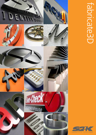

# fabricate3D **Fabricate3D**